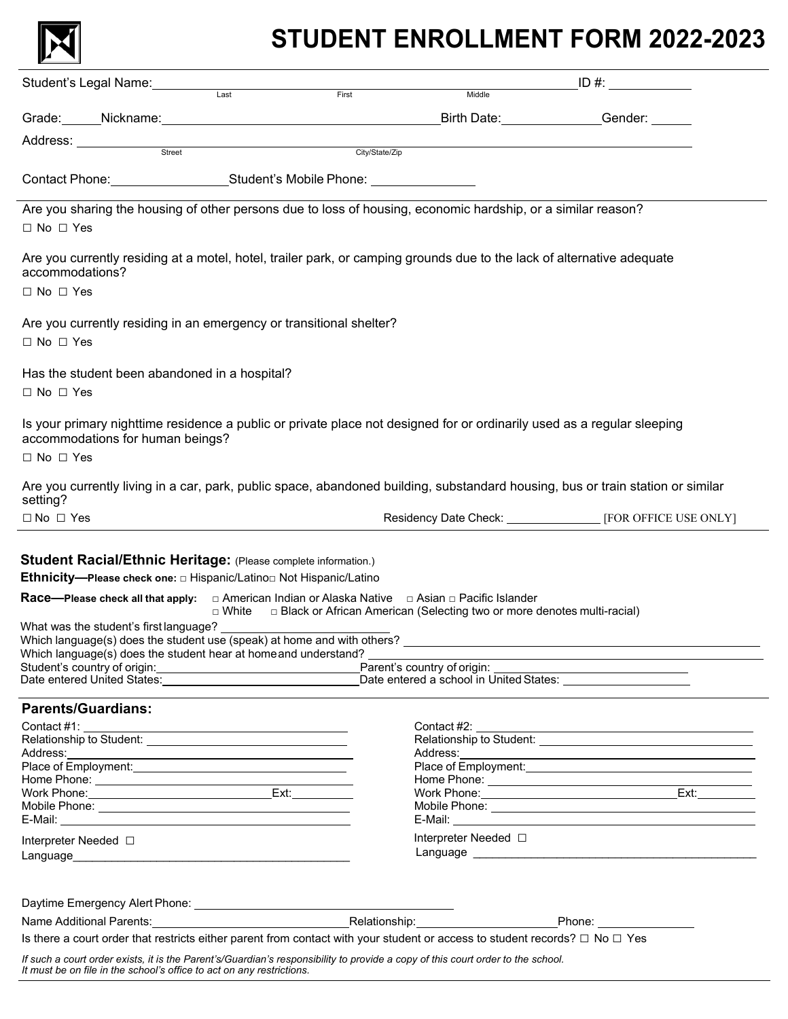

# **STUDENT ENROLLMENT FORM 2022-2023**

| ID #: $\frac{1}{2}$ = $\frac{1}{2}$ = $\frac{1}{2}$ = $\frac{1}{2}$ = $\frac{1}{2}$ = $\frac{1}{2}$ = $\frac{1}{2}$ = $\frac{1}{2}$ = $\frac{1}{2}$ = $\frac{1}{2}$ = $\frac{1}{2}$ = $\frac{1}{2}$ = $\frac{1}{2}$ = $\frac{1}{2}$ = $\frac{1}{2}$ = $\frac{1}{2}$ = $\frac{1}{2}$ = $\frac{1}{2}$ = |                                                                                                                                                                                                                                                                                                                                                                                            |
|-------------------------------------------------------------------------------------------------------------------------------------------------------------------------------------------------------------------------------------------------------------------------------------------------------|--------------------------------------------------------------------------------------------------------------------------------------------------------------------------------------------------------------------------------------------------------------------------------------------------------------------------------------------------------------------------------------------|
| Grade: Mickname: Nickname: Nickname: Nickname: Nickname: Nickname: Nickname: Nickname: Nickname: Nickname: Nic                                                                                                                                                                                        |                                                                                                                                                                                                                                                                                                                                                                                            |
|                                                                                                                                                                                                                                                                                                       |                                                                                                                                                                                                                                                                                                                                                                                            |
|                                                                                                                                                                                                                                                                                                       |                                                                                                                                                                                                                                                                                                                                                                                            |
|                                                                                                                                                                                                                                                                                                       |                                                                                                                                                                                                                                                                                                                                                                                            |
|                                                                                                                                                                                                                                                                                                       |                                                                                                                                                                                                                                                                                                                                                                                            |
| Are you sharing the housing of other persons due to loss of housing, economic hardship, or a similar reason?                                                                                                                                                                                          |                                                                                                                                                                                                                                                                                                                                                                                            |
|                                                                                                                                                                                                                                                                                                       |                                                                                                                                                                                                                                                                                                                                                                                            |
| Are you currently residing at a motel, hotel, trailer park, or camping grounds due to the lack of alternative adequate                                                                                                                                                                                |                                                                                                                                                                                                                                                                                                                                                                                            |
|                                                                                                                                                                                                                                                                                                       |                                                                                                                                                                                                                                                                                                                                                                                            |
|                                                                                                                                                                                                                                                                                                       |                                                                                                                                                                                                                                                                                                                                                                                            |
|                                                                                                                                                                                                                                                                                                       |                                                                                                                                                                                                                                                                                                                                                                                            |
|                                                                                                                                                                                                                                                                                                       |                                                                                                                                                                                                                                                                                                                                                                                            |
|                                                                                                                                                                                                                                                                                                       |                                                                                                                                                                                                                                                                                                                                                                                            |
|                                                                                                                                                                                                                                                                                                       |                                                                                                                                                                                                                                                                                                                                                                                            |
| Is your primary nighttime residence a public or private place not designed for or ordinarily used as a regular sleeping                                                                                                                                                                               |                                                                                                                                                                                                                                                                                                                                                                                            |
|                                                                                                                                                                                                                                                                                                       |                                                                                                                                                                                                                                                                                                                                                                                            |
| Are you currently living in a car, park, public space, abandoned building, substandard housing, bus or train station or similar                                                                                                                                                                       |                                                                                                                                                                                                                                                                                                                                                                                            |
| Residency Date Check: [19] [FOR OFFICE USE ONLY]                                                                                                                                                                                                                                                      |                                                                                                                                                                                                                                                                                                                                                                                            |
| Race—Please check all that apply: $\Box$ American Indian or Alaska Native $\Box$ Asian $\Box$ Pacific Islander<br>□ Black or African American (Selecting two or more denotes multi-racial)                                                                                                            |                                                                                                                                                                                                                                                                                                                                                                                            |
|                                                                                                                                                                                                                                                                                                       |                                                                                                                                                                                                                                                                                                                                                                                            |
| Student's country of origin: Parent's country of origin:                                                                                                                                                                                                                                              |                                                                                                                                                                                                                                                                                                                                                                                            |
| Date entered United States: <u>New York: New York: New York: New York: New York: New York: New York: New York: New York: New York: New York: New York: New York: New York: New York: New York: New York: New York: New York: New</u>                                                                  |                                                                                                                                                                                                                                                                                                                                                                                            |
|                                                                                                                                                                                                                                                                                                       |                                                                                                                                                                                                                                                                                                                                                                                            |
|                                                                                                                                                                                                                                                                                                       |                                                                                                                                                                                                                                                                                                                                                                                            |
|                                                                                                                                                                                                                                                                                                       |                                                                                                                                                                                                                                                                                                                                                                                            |
| Address: No. 2008. Address: No. 2008. Address: No. 2008. Address: No. 2008. Address: No. 2008. Address: No. 2008. Address: No. 2008. Address: No. 2008. Address: No. 2008. Address: No. 2008. Address: No. 2008. Address: No.                                                                         |                                                                                                                                                                                                                                                                                                                                                                                            |
|                                                                                                                                                                                                                                                                                                       |                                                                                                                                                                                                                                                                                                                                                                                            |
|                                                                                                                                                                                                                                                                                                       |                                                                                                                                                                                                                                                                                                                                                                                            |
|                                                                                                                                                                                                                                                                                                       |                                                                                                                                                                                                                                                                                                                                                                                            |
|                                                                                                                                                                                                                                                                                                       |                                                                                                                                                                                                                                                                                                                                                                                            |
|                                                                                                                                                                                                                                                                                                       |                                                                                                                                                                                                                                                                                                                                                                                            |
| Interpreter Needed □                                                                                                                                                                                                                                                                                  |                                                                                                                                                                                                                                                                                                                                                                                            |
|                                                                                                                                                                                                                                                                                                       |                                                                                                                                                                                                                                                                                                                                                                                            |
|                                                                                                                                                                                                                                                                                                       |                                                                                                                                                                                                                                                                                                                                                                                            |
|                                                                                                                                                                                                                                                                                                       |                                                                                                                                                                                                                                                                                                                                                                                            |
|                                                                                                                                                                                                                                                                                                       |                                                                                                                                                                                                                                                                                                                                                                                            |
|                                                                                                                                                                                                                                                                                                       |                                                                                                                                                                                                                                                                                                                                                                                            |
|                                                                                                                                                                                                                                                                                                       | Name Additional Parents: Name Additional Parents: Name Additional Parents: Name Additional Parents: Name Phone<br>Is there a court order that restricts either parent from contact with your student or access to student records? $\Box$ No $\Box$ Yes<br>If such a court order exists, it is the Parent's/Guardian's responsibility to provide a copy of this court order to the school. |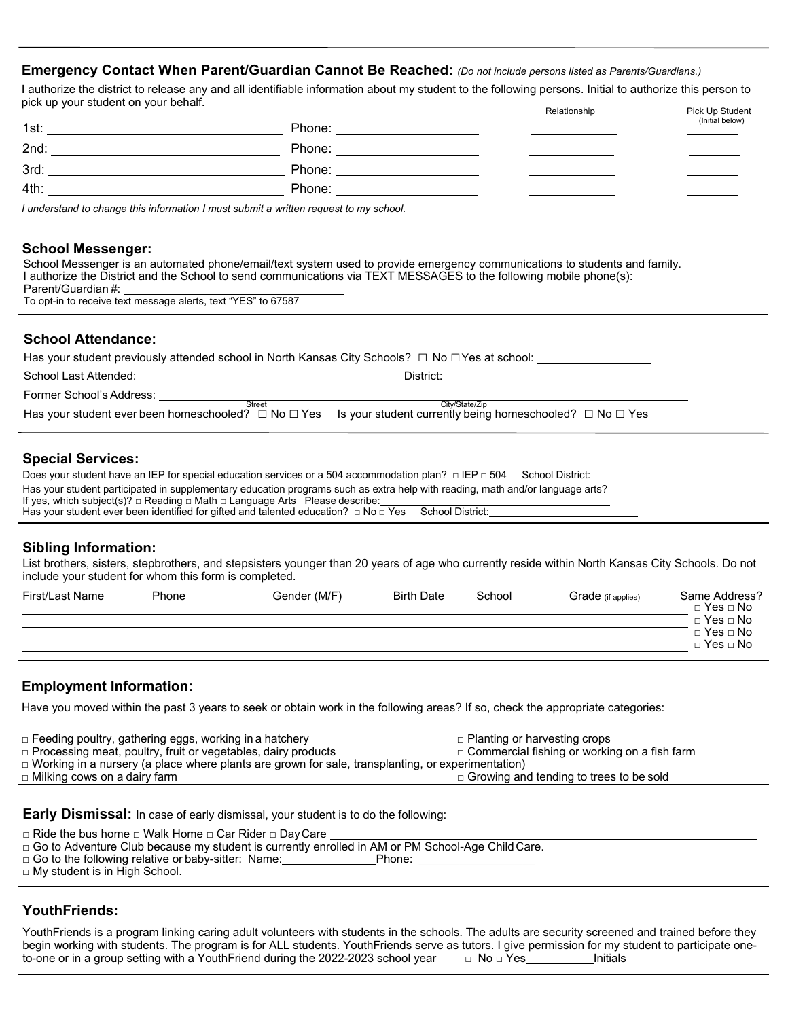# **Emergency Contact When Parent/Guardian Cannot Be Reached:** *(Do not include persons listed as Parents/Guardians.)*

I authorize the district to release any and all identifiable information about my student to the following persons. Initial to authorize this person to pick up your student on your behalf. The student of the student of the Student of Pick Up Student

|                                                                                                                                                                                                                                                                                                                                                                                                                                                                                |                                                                                       | .<br>(Initial below) |
|--------------------------------------------------------------------------------------------------------------------------------------------------------------------------------------------------------------------------------------------------------------------------------------------------------------------------------------------------------------------------------------------------------------------------------------------------------------------------------|---------------------------------------------------------------------------------------|----------------------|
|                                                                                                                                                                                                                                                                                                                                                                                                                                                                                |                                                                                       |                      |
|                                                                                                                                                                                                                                                                                                                                                                                                                                                                                |                                                                                       |                      |
| $3rd: \begin{tabular}{@{}c@{}} \hline \multicolumn{3}{c}{} & \multicolumn{3}{c}{} & \multicolumn{3}{c}{} \multicolumn{3}{c}{} \multicolumn{3}{c}{} \multicolumn{3}{c}{} \multicolumn{3}{c}{} \multicolumn{3}{c}{} \multicolumn{3}{c}{} \multicolumn{3}{c}{} \multicolumn{3}{c}{} \multicolumn{3}{c}{} \multicolumn{3}{c}{} \multicolumn{3}{c}{} \multicolumn{3}{c}{} \multicolumn{3}{c}{} \multicolumn{3}{c}{} \multicolumn{3}{c}{} \multicolumn{3}{c}{} \multicolumn{3}{c}{}$ | Phone: ______________________                                                         |                      |
|                                                                                                                                                                                                                                                                                                                                                                                                                                                                                |                                                                                       |                      |
|                                                                                                                                                                                                                                                                                                                                                                                                                                                                                | I understand to change this information I must submit a written request to my school. |                      |
|                                                                                                                                                                                                                                                                                                                                                                                                                                                                                |                                                                                       |                      |

#### **School Messenger:**

School Messenger is an automated phone/email/text system used to provide emergency communications to students and family. I authorize the District and the School to send communications via TEXT MESSAGES to the following mobile phone(s): Parent/Guardian #:

To opt-in to receive text message alerts, text "YES" to 67587

# **School Attendance:**

Has your student previously attended school in North Kansas City Schools? □ No □Yes at school:

| School Last Attended:    | District:                                                                                                                        |  |
|--------------------------|----------------------------------------------------------------------------------------------------------------------------------|--|
| Former School's Address: |                                                                                                                                  |  |
| Street                   | City/State/Zip                                                                                                                   |  |
|                          | Has your student ever been homeschooled? $\Box$ No $\Box$ Yes Is your student currently being homeschooled? $\Box$ No $\Box$ Yes |  |

# **Special Services:**

| Does your student have an IEP for special education services or a 504 accommodation plan? $\Box$ IEP $\Box$ 504 School District:                                                                                            |  |
|-----------------------------------------------------------------------------------------------------------------------------------------------------------------------------------------------------------------------------|--|
| Has your student participated in supplementary education programs such as extra help with reading, math and/or language arts?<br>If yes, which subject(s)? $\Box$ Reading $\Box$ Math $\Box$ Language Arts Please describe: |  |
| Has your student ever been identified for gifted and talented education? $\Box$ No $\Box$ Yes School District:                                                                                                              |  |

# **Sibling Information:**

List brothers, sisters, stepbrothers, and stepsisters younger than 20 years of age who currently reside within North Kansas City Schools. Do not include your student for whom this form is completed.

| First/Last Name | Phone | Gender (M/F) | <b>Birth Date</b> | School | Grade (if applies) | Same Address?<br>$\Box$ Yes $\Box$ No |
|-----------------|-------|--------------|-------------------|--------|--------------------|---------------------------------------|
|                 |       |              |                   |        |                    | □ Yes  □ No                           |
|                 |       |              |                   |        |                    | $\Box$ Yes $\Box$ No                  |
|                 |       |              |                   |        |                    | $\Box$ Yes $\Box$ No                  |

# **Employment Information:**

Have you moved within the past 3 years to seek or obtain work in the following areas? If so, check the appropriate categories:

| □ Feeding poultry, gathering eggs, working in a hatchery                                                 | $\Box$ Planting or harvesting crops                 |  |  |  |
|----------------------------------------------------------------------------------------------------------|-----------------------------------------------------|--|--|--|
| $\Box$ Processing meat, poultry, fruit or vegetables, dairy products                                     | $\Box$ Commercial fishing or working on a fish farm |  |  |  |
| $\Box$ Working in a nursery (a place where plants are grown for sale, transplanting, or experimentation) |                                                     |  |  |  |

□ Milking cows on a dairy farm □ Growing and tending to trees to be sold

**Early Dismissal:** In case of early dismissal, your student is to do the following:

□ Ride the bus home □ Walk Home □ Car Rider □ DayCare

□ Go to Adventure Club because my student is currently enrolled in AM or PM School-Age Child Care.

□ Go to the following relative or baby-sitter: Name: <br>
<br>
<br>
Phone:

□ My student is in High School.

# **YouthFriends:**

YouthFriends is a program linking caring adult volunteers with students in the schools. The adults are security screened and trained before they begin working with students. The program is for ALL students. YouthFriends serve as tutors. I give permission for my student to participate one-<br>to-one or in a group setting with a YouthFriend during the 2022-2023 school to-one or in a group setting with a YouthFriend during the 2022-2023 school year  $□$  No  $□$  Yes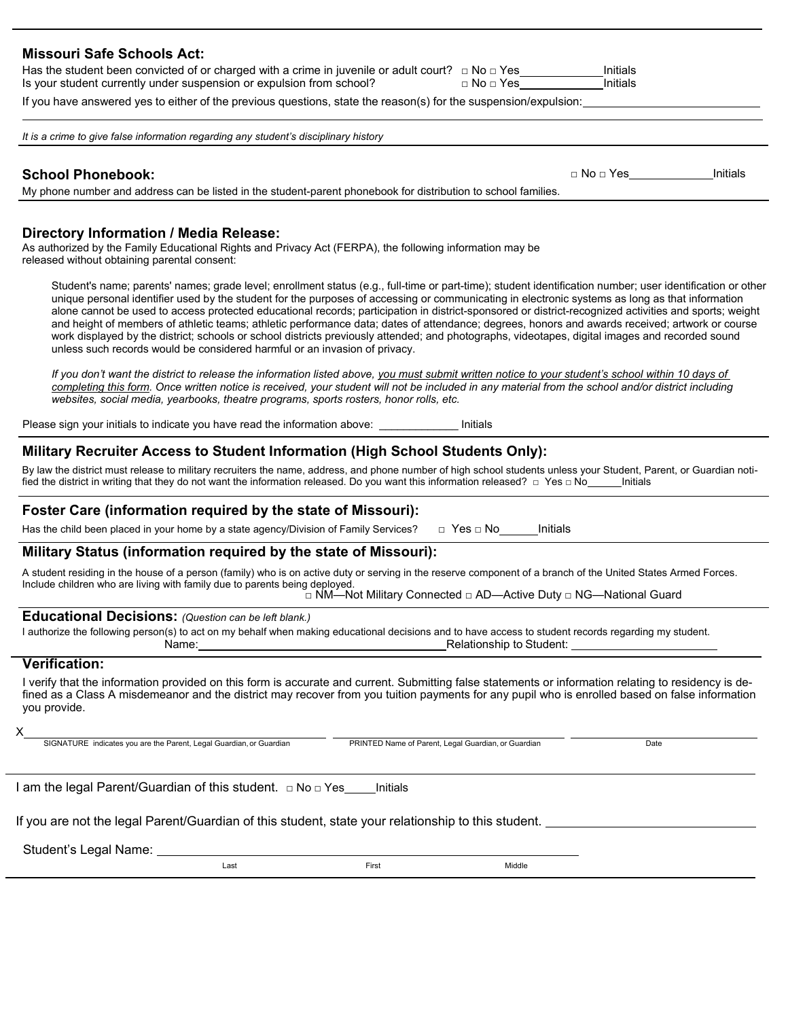| <b>Missouri Safe Schools Act:</b>                                                                                                                                                                                                                                                                                                                                                                                                                                                                                                                                                                                                                                                                                                                                                                                                                           |
|-------------------------------------------------------------------------------------------------------------------------------------------------------------------------------------------------------------------------------------------------------------------------------------------------------------------------------------------------------------------------------------------------------------------------------------------------------------------------------------------------------------------------------------------------------------------------------------------------------------------------------------------------------------------------------------------------------------------------------------------------------------------------------------------------------------------------------------------------------------|
| Has the student been convicted of or charged with a crime in juvenile or adult court? $\Box$ No $\Box$ Yes_________<br>Initials<br>Initials<br>Is your student currently under suspension or expulsion from school?<br>$\Box$ No $\Box$ Yes_______                                                                                                                                                                                                                                                                                                                                                                                                                                                                                                                                                                                                          |
| If you have answered yes to either of the previous questions, state the reason(s) for the suspension/expulsion:                                                                                                                                                                                                                                                                                                                                                                                                                                                                                                                                                                                                                                                                                                                                             |
| It is a crime to give false information regarding any student's disciplinary history                                                                                                                                                                                                                                                                                                                                                                                                                                                                                                                                                                                                                                                                                                                                                                        |
| □ No □ Yes ________________Initials<br><b>School Phonebook:</b><br>My phone number and address can be listed in the student-parent phonebook for distribution to school families.                                                                                                                                                                                                                                                                                                                                                                                                                                                                                                                                                                                                                                                                           |
| Directory Information / Media Release:<br>As authorized by the Family Educational Rights and Privacy Act (FERPA), the following information may be<br>released without obtaining parental consent:                                                                                                                                                                                                                                                                                                                                                                                                                                                                                                                                                                                                                                                          |
| Student's name; parents' names; grade level; enrollment status (e.g., full-time or part-time); student identification number; user identification or other<br>unique personal identifier used by the student for the purposes of accessing or communicating in electronic systems as long as that information<br>alone cannot be used to access protected educational records; participation in district-sponsored or district-recognized activities and sports; weight<br>and height of members of athletic teams; athletic performance data; dates of attendance; degrees, honors and awards received; artwork or course<br>work displayed by the district; schools or school districts previously attended; and photographs, videotapes, digital images and recorded sound<br>unless such records would be considered harmful or an invasion of privacy. |
| If you don't want the district to release the information listed above, you must submit written notice to your student's school within 10 days of<br>completing this form. Once written notice is received, your student will not be included in any material from the school and/or district including<br>websites, social media, yearbooks, theatre programs, sports rosters, honor rolls, etc.                                                                                                                                                                                                                                                                                                                                                                                                                                                           |
| Please sign your initials to indicate you have read the information above: ___________<br>Initials                                                                                                                                                                                                                                                                                                                                                                                                                                                                                                                                                                                                                                                                                                                                                          |
| Military Recruiter Access to Student Information (High School Students Only):                                                                                                                                                                                                                                                                                                                                                                                                                                                                                                                                                                                                                                                                                                                                                                               |
| By law the district must release to military recruiters the name, address, and phone number of high school students unless your Student, Parent, or Guardian noti-<br>fied the district in writing that they do not want the information released. Do you want this information released? □ Yes □ No_____hitials                                                                                                                                                                                                                                                                                                                                                                                                                                                                                                                                            |
| Foster Care (information required by the state of Missouri):                                                                                                                                                                                                                                                                                                                                                                                                                                                                                                                                                                                                                                                                                                                                                                                                |
| Has the child been placed in your home by a state agency/Division of Family Services?<br>$\Box$ Yes $\Box$ No<br>Initials                                                                                                                                                                                                                                                                                                                                                                                                                                                                                                                                                                                                                                                                                                                                   |
| Military Status (information required by the state of Missouri):                                                                                                                                                                                                                                                                                                                                                                                                                                                                                                                                                                                                                                                                                                                                                                                            |
| A student residing in the house of a person (family) who is on active duty or serving in the reserve component of a branch of the United States Armed Forces.<br>Include children who are living with family due to parents being deployed.<br>□ NM—Not Military Connected □ AD—Active Duty □ NG—National Guard                                                                                                                                                                                                                                                                                                                                                                                                                                                                                                                                             |
| Educational Decisions: (Question can be left blank.)                                                                                                                                                                                                                                                                                                                                                                                                                                                                                                                                                                                                                                                                                                                                                                                                        |
| I authorize the following person(s) to act on my behalf when making educational decisions and to have access to student records regarding my student.<br>Relationship to Student:<br>Name:                                                                                                                                                                                                                                                                                                                                                                                                                                                                                                                                                                                                                                                                  |
| <b>Verification:</b>                                                                                                                                                                                                                                                                                                                                                                                                                                                                                                                                                                                                                                                                                                                                                                                                                                        |
| I verify that the information provided on this form is accurate and current. Submitting false statements or information relating to residency is de-<br>fined as a Class A misdemeanor and the district may recover from you tuition payments for any pupil who is enrolled based on false information<br>you provide.                                                                                                                                                                                                                                                                                                                                                                                                                                                                                                                                      |
| SIGNATURE indicates you are the Parent, Legal Guardian, or Guardian<br>PRINTED Name of Parent, Legal Guardian, or Guardian<br>Date                                                                                                                                                                                                                                                                                                                                                                                                                                                                                                                                                                                                                                                                                                                          |
|                                                                                                                                                                                                                                                                                                                                                                                                                                                                                                                                                                                                                                                                                                                                                                                                                                                             |
| I am the legal Parent/Guardian of this student.  □ No □ Yes_<br>Initials                                                                                                                                                                                                                                                                                                                                                                                                                                                                                                                                                                                                                                                                                                                                                                                    |
| If you are not the legal Parent/Guardian of this student, state your relationship to this student.                                                                                                                                                                                                                                                                                                                                                                                                                                                                                                                                                                                                                                                                                                                                                          |
| Student's Legal Name:                                                                                                                                                                                                                                                                                                                                                                                                                                                                                                                                                                                                                                                                                                                                                                                                                                       |
| First<br>Last<br>Middle                                                                                                                                                                                                                                                                                                                                                                                                                                                                                                                                                                                                                                                                                                                                                                                                                                     |
|                                                                                                                                                                                                                                                                                                                                                                                                                                                                                                                                                                                                                                                                                                                                                                                                                                                             |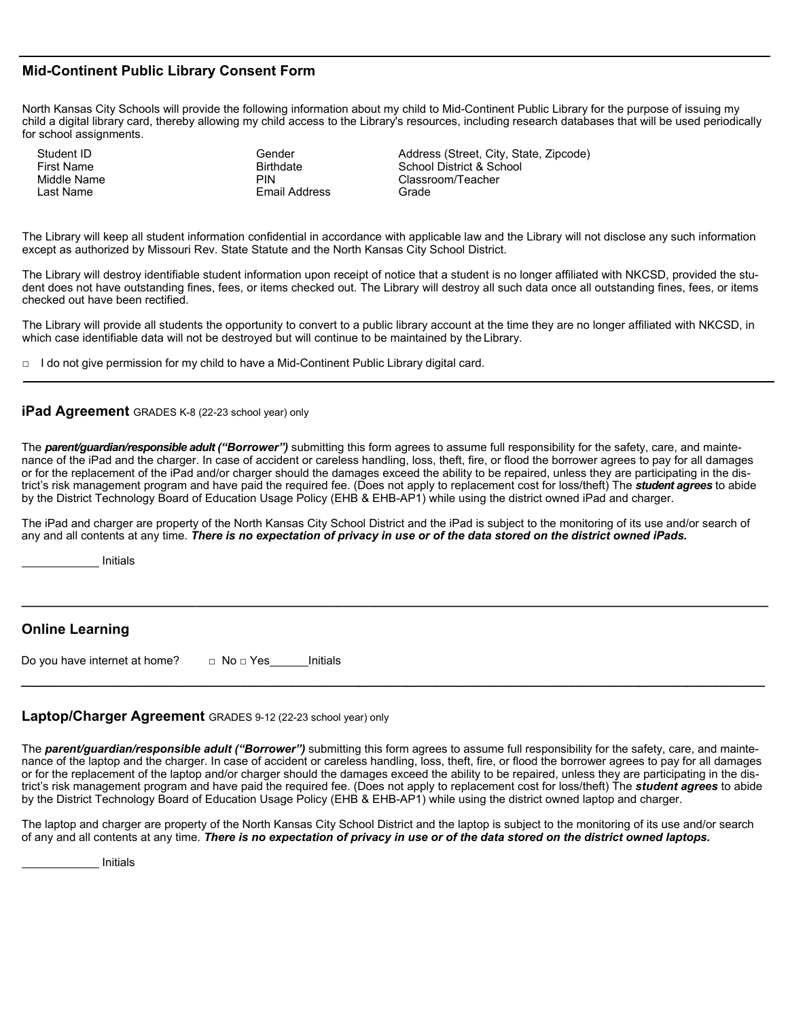## **Mid-Continent Public Library Consent Form**

North Kansas City Schools will provide the following information about my child to Mid-Continent Public Library for the purpose of issuing my child a digital library card, thereby allowing my child access to the Library's resources, including research databases that will be used periodically for school assignments.

Student ID First Name Middle Name Last Name

Gender **Birthdate** PIN Email Address Address (Street, City, State, Zipcode) School District & School Classroom/Teacher Grade

The Library will keep all student information confidential in accordance with applicable law and the Library will not disclose any such information except as authorized by Missouri Rev. State Statute and the North Kansas City School District.

The Library will destroy identifiable student information upon receipt of notice that a student is no longer affiliated with NKCSD, provided the student does not have outstanding fines, fees, or items checked out. The Library will destroy all such data once all outstanding fines, fees, or items checked out have been rectified.

The Library will provide all students the opportunity to convert to a public library account at the time they are no longer affiliated with NKCSD, in which case identifiable data will not be destroyed but will continue to be maintained by the Library.

 $\Box$  I do not give permission for my child to have a Mid-Continent Public Library digital card.

#### **iPad Agreement** GRADES K-8 (22-23 school year) only

The *parent/guardian/responsible adult ("Borrower")* submitting this form agrees to assume full responsibility for the safety, care, and maintenance of the iPad and the charger. In case of accident or careless handling, loss, theft, fire, or flood the borrower agrees to pay for all damages or for the replacement of the iPad and/or charger should the damages exceed the ability to be repaired, unless they are participating in the district's risk management program and have paid the required fee. (Does not apply to replacement cost for loss/theft) The *student agrees* to abide by the District Technology Board of Education Usage Policy (EHB & EHB-AP1) while using the district owned iPad and charger.

The iPad and charger are property of the North Kansas City School District and the iPad is subject to the monitoring of its use and/or search of any and all contents at any time. *There is no expectation of privacy in use or of the data stored on the district owned iPads.*

**\_\_\_\_\_\_\_\_\_\_\_\_\_\_\_\_\_\_\_\_\_\_\_\_\_\_\_\_\_\_\_\_\_\_\_\_\_\_\_\_\_\_\_\_\_\_\_\_\_\_\_\_\_\_\_\_\_\_\_\_\_\_\_\_\_\_\_\_\_\_\_\_\_\_\_\_\_\_\_\_\_\_\_\_\_\_\_\_\_\_\_\_\_\_\_\_\_\_\_\_\_\_\_\_\_\_\_\_\_\_\_\_\_\_\_\_**

 $\overline{\phantom{a}}$  , and the contribution of the contribution of the contribution of the contribution of the contribution of the contribution of the contribution of the contribution of the contribution of the contribution of the

Initials

# **Online Learning**

| Do you have internet at home? | $\Box$ No $\Box$ Yes | Initials |
|-------------------------------|----------------------|----------|
|-------------------------------|----------------------|----------|

### **Laptop/Charger Agreement** GRADES 9-12 (22-23 school year) only

The *parent/guardian/responsible adult ("Borrower")* submitting this form agrees to assume full responsibility for the safety, care, and maintenance of the laptop and the charger. In case of accident or careless handling, loss, theft, fire, or flood the borrower agrees to pay for all damages or for the replacement of the laptop and/or charger should the damages exceed the ability to be repaired, unless they are participating in the district's risk management program and have paid the required fee. (Does not apply to replacement cost for loss/theft) The *student agrees* to abide by the District Technology Board of Education Usage Policy (EHB & EHB-AP1) while using the district owned laptop and charger.

The laptop and charger are property of the North Kansas City School District and the laptop is subject to the monitoring of its use and/or search of any and all contents at any time. *There is no expectation of privacy in use or of the data stored on the district owned laptops.*

Initials